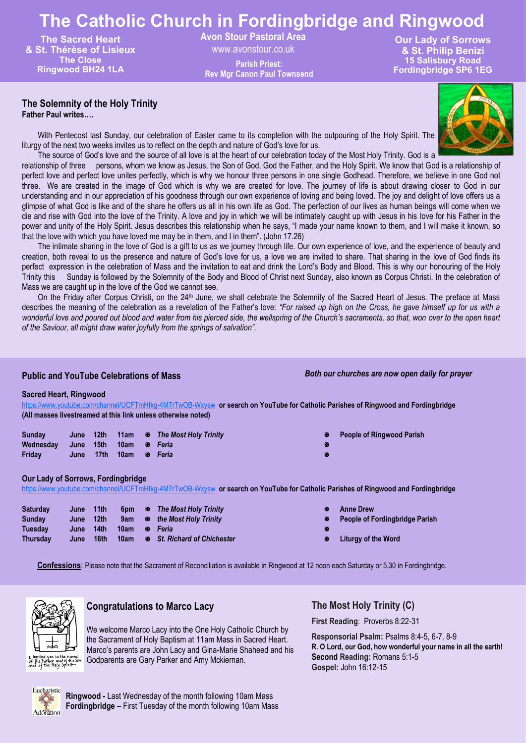# **The Catholic Church in Fordingbridge and Ringwood**

**The Sacred Heart & St. Thérèse of Lisieux The Close Ringwood BH24 1LA**

**Avon Stour Pastoral Area** 

www.avonstour.co.uk **Rev Mgr Canon Paul Townsend**

**Our Lady of Sorrows & St. Philip Benizi 15 Salisbury Road Fordingbridge SP6 1EG Parish Priest:**

**The Solemnity of the Holy Trinity**

**Father Paul writes….**

With Pentecost last Sunday, our celebration of Easter came to its completion with the outpouring of the Holy Spirit. The liturgy of the next two weeks invites us to reflect on the depth and nature of God's love for us.

The source of God's love and the source of all love is at the heart of our celebration today of the Most Holy Trinity. God is a relationship of three persons, whom we know as Jesus, the Son of God, God the Father, and the Holy Spirit. We know that God is a relationship of perfect love and perfect love unites perfectly, which is why we honour three persons in one single Godhead. Therefore, we believe in one God not three. We are created in the image of God which is why we are created for love. The journey of life is about drawing closer to God in our understanding and in our appreciation of his goodness through our own experience of loving and being loved. The joy and delight of love offers us a glimpse of what God is like and of the share he offers us all in his own life as God. The perfection of our lives as human beings will come when we die and rise with God into the love of the Trinity. A love and joy in which we will be intimately caught up with Jesus in his love for his Father in the power and unity of the Holy Spirit. Jesus describes this relationship when he says, "I made your name known to them, and I will make it known, so that the love with which you have loved me may be in them, and I in them". (John 17.26)

The intimate sharing in the love of God is a gift to us as we journey through life. Our own experience of love, and the experience of beauty and creation, both reveal to us the presence and nature of God's love for us, a love we are invited to share. That sharing in the love of God finds its perfect expression in the celebration of Mass and the invitation to eat and drink the Lord's Body and Blood. This is why our honouring of the Holy Trinity this Sunday is followed by the Solemnity of the Body and Blood of Christ next Sunday, also known as Corpus Christi. In the celebration of Mass we are caught up in the love of the God we cannot see.

On the Friday after Corpus Christi, on the 24<sup>th</sup> June, we shall celebrate the Solemnity of the Sacred Heart of Jesus. The preface at Mass describes the meaning of the celebration as a revelation of the Father's love: *"For raised up high on the Cross, he gave himself up for us with a wonderful love and poured out blood and water from his pierced side, the wellspring of the Church's sacraments, so that, won over to the open heart of the Saviour, all might draw water joyfully from the springs of salvation".*

### **Public and YouTube Celebrations of Mass**

*Both our churches are now open daily for prayer*

### **Sacred Heart, Ringwood**

<https://www.youtube.com/channel/UCFTmHIkg-4M7rTwOB-Wxysw> **or search on YouTube for Catholic Parishes of Ringwood and Fordingbridge (All masses livestreamed at this link unless otherwise noted)**

| Sunday              |           |        | June 12th 11am $\Phi$ The Most Holy Trinity | x |
|---------------------|-----------|--------|---------------------------------------------|---|
| Wednesday June 15th |           | / 10am | ਾ ® Feria                                   | ĸ |
| Fridav              | June 17th | 10am   | ਾ ® Feria                                   | ĸ |

- **Sunday June 12th 11am** *The Most Holy Trinity* **People of Ringwood Parish**
- 

**Our Lady of Sorrows, Fordingbridge**

<https://www.youtube.com/channel/UCFTmHIkg-4M7rTwOB-Wxysw> **or search on YouTube for Catholic Parishes of Ringwood and Fordingbridge**

| <b>Saturday</b> | June 11th |      |  | 6pm <b>B</b> The Most Holy Trinity | м. | <b>Anne Drew</b>   |
|-----------------|-----------|------|--|------------------------------------|----|--------------------|
| Sunday          | June 12th |      |  | 9am <b>E</b> the Most Holy Trinity | œ. | <b>People of F</b> |
| Tuesday         | June 14th |      |  |                                    | ĸ  |                    |
| <b>Thursdav</b> | June      | 16th |  | 10am B St. Richard of Chichester   | 图  | Liturgy of t       |

- 
- **Sunday June 12th 9am** *the Most Holy Trinity* **People of Fordingbridge Parish**
- **The 10 10** *M* **10** *Chicago of the Word*

**Confessions**: Please note that the Sacrament of Reconciliation is available in Ringwood at 12 noon each Saturday or 5.30 in Fordingbridge.



# **Congratulations to Marco Lacy**

We welcome Marco Lacy into the One Holy Catholic Church by the Sacrament of Holy Baptism at 11am Mass in Sacred Heart. Marco's parents are John Lacy and Gina-Marie Shaheed and his Godparents are Gary Parker and Amy Mckiernan.

# **The Most Holy Trinity (C)**

**First Reading**: Proverbs 8:22-31

**Responsorial Psalm:** Psalms 8:4-5, 6-7, 8-9 **R. O Lord, our God, how wonderful your name in all the earth! Second Reading:** Romans 5:1-5 **Gospel:** John 16:12-15



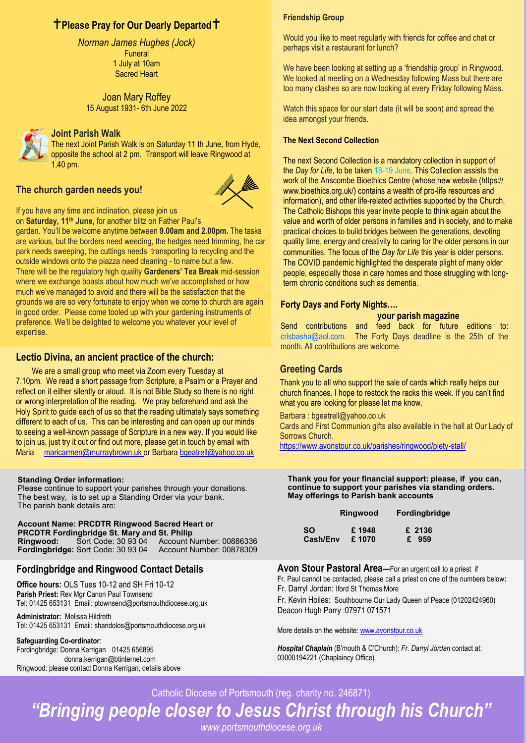# **Please Pray for Our Dearly Departed**

**Palm Sunday (Palm Sunday Sunday Advanced Sunday Sunday Advanced Sunday Sunday Advanced Sunday Advanced Sunday First Reading**: Isaiah 50:4-7 **Responsorial Psalm:** 22:8-9, 17-18, 19-20, 23-24 1 July at 10am R. My God, my God, why have you abandoned me? **Funeral** Sacred Heart

**Second Reading:** Philippians 2:6-11 **Gospel:** Luke 22:14-23:56 Joan Mary Roffey 15 August 1931- 6th June 2022



# **Joint Parish Walk**

The next Joint Parish Walk is on Saturday 11 th June, from Hyde, opposite the school at 2 pm. Transport will leave Ringwood at 1.40 pm.

# **The church garden needs you!**



If you have any time and inclination, please join us

on **Saturday, 11th June,** for another blitz on Father Paul's garden. You'll be welcome anytime between **9.00am and 2.00pm.** The tasks are various, but the borders need weeding, the hedges need trimming, the car park needs sweeping, the cuttings needs transporting to recycling and the outside windows onto the piazza need cleaning - to name but a few. There will be the regulatory high quality **Gardeners' Tea Break** mid-session where we exchange boasts about how much we've accomplished or how much we've managed to avoid and there will be the satisfaction that the grounds we are so very fortunate to enjoy when we come to church are again in good order. Please come tooled up with your gardening instruments of preference. We'll be delighted to welcome you whatever your level of expertise.

### **Lectio Divina, an ancient practice of the church:**

We are a small group who meet via Zoom every Tuesday at 7.10pm. We read a short passage from Scripture, a Psalm or a Prayer and reflect on it either silently or aloud. It is not Bible Study so there is no right or wrong interpretation of the reading. We pray beforehand and ask the Holy Spirit to guide each of us so that the reading ultimately says something different to each of us. This can be interesting and can open up our minds to seeing a well-known passage of Scripture in a new way. If you would like to join us, just try it out or find out more, please get in touch by email with Maria maricarmen@murraybrown.uk or Barbara bgeatrell@yahoo.co.uk

#### **Standing Order information:**

Please continue to support your parishes through your donations. The best way, is to set up a Standing Order via your bank. The parish bank details are:

**Account Name: PRCDTR Ringwood Sacred Heart or PRCDTR Fordingbridge St. Mary and St. Philip Ringwood:** Sort Code: 30 93 04 Account Number: 00886336 **Fordingbridge: Sort Code: 30 93 04** 

### **Fordingbridge and Ringwood Contact Details**

**Office hours:** OLS Tues 10-12 and SH Fri 10-12 **Parish Priest:** Rev Mgr Canon Paul Townsend Tel: 01425 653131 Email: ptownsend@portsmouthdiocese.org.uk

**Administrator:** Melissa Hildreth Tel: 01425 653131 Email: shandolos@portsmouthdiocese.org.uk

#### **Safeguarding Co-ordinator**:

Fordingbridge: Donna Kerrigan 01425 656895 donna.kerrigan@btinternet.com Ringwood: please contact Donna Kerrigan, details above

#### **Friendship Group**

Would you like to meet regularly with friends for coffee and chat or perhaps visit a restaurant for lunch?

We have been looking at setting up a 'friendship group' in Ringwood. We looked at meeting on a Wednesday following Mass but there are too many clashes so are now looking at every Friday following Mass.

Watch this space for our start date (it will be soon) and spread the idea amongst your friends.

#### **The Next Second Collection**

The next Second Collection is a mandatory collection in support of the *Day for Life*, to be taken 18-19 June. This Collection assists the work of the Anscombe Bioethics Centre (whose new website (https:// www.bioethics.org.uk/) contains a wealth of pro-life resources and information), and other life-related activities supported by the Church. The Catholic Bishops this year invite people to think again about the value and worth of older persons in families and in society, and to make practical choices to build bridges between the generations, devoting quality time, energy and creativity to caring for the older persons in our communities. The focus of the *Day for Life* this year is older persons. The COVID pandemic highlighted the desperate plight of many older people, especially those in care homes and those struggling with longterm chronic conditions such as dementia.

### **Forty Days and Forty Nights….**

#### **your parish magazine**

Send contributions and feed back for future editions to: crisbasha@aol.com. The Forty Days deadline is the 25th of the month. All contributions are welcome.

### **Greeting Cards**

Thank you to all who support the sale of cards which really helps our church finances. I hope to restock the racks this week. If you can't find what you are looking for please let me know.

Barbara : bgeatrell@yahoo.co.uk

Cards and First Communion gifts also available in the hall at Our Lady of Sorrows Church.

https://www.avonstour.co.uk/parishes/ringwood/piety-stall/

**Thank you for your financial support: please, if you can, continue to support your parishes via standing orders. May offerings to Parish bank accounts**

|           | Ringwood | <b>Fordingbridge</b> |
|-----------|----------|----------------------|
| <b>SO</b> | £1948    | £ 2136               |
| Cash/Env  | £1070    | £ 959                |

**Avon Stour Pastoral Area—**For an urgent call to a priest if Fr. Paul cannot be contacted, please call a priest on one of the numbers below**:** Fr. Darryl Jordan: Iford St Thomas More

Fr. Kevin Hoiles: Southbourne Our Lady Queen of Peace (01202424960) Deacon Hugh Parry :07971 071571

More details on the website: www.avonstour.co.uk

*Hospital Chaplain* (B'mouth & C'Church): *Fr. Darryl Jordan* contact at: 03000194221 (Chaplaincy Office)

Catholic Diocese of Portsmouth (reg. charity no. 246871)

*"Bringing people closer to Jesus Christ through his Church"*

*www.portsmouthdiocese.org.uk*